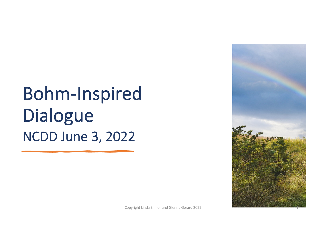Bohm-Inspired Dialogue NCDD June 3, 2022

Copyright Linda Ellinor and Glenna Gerard 2022

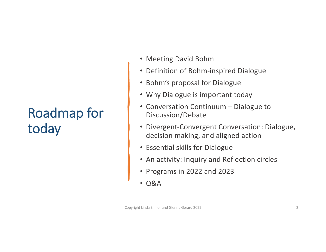## Roadmap for today

- Meeting David Bohm
- Definition of Bohm-inspired Dialogue
- Bohm's proposal for Dialogue
- Why Dialogue is important today
- Conversation Continuum Dialogue to Discussion/Debate
- Divergent-Convergent Conversation: Dialogue, decision making, and aligned action
- Essential skills for Dialogue
- An activity: Inquiry and Reflection circles
- Programs in 2022 and 2023
- Q&A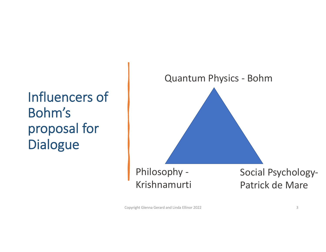## Influencers of Bohm's proposal for Dialogue



Copyright Glenna Gerard and Linda Ellinor 2022 3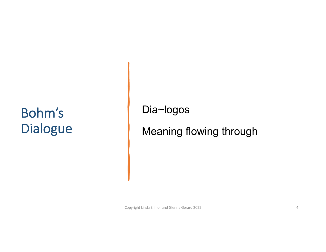## Bohm's Dialogue

Dia~logos

Meaning flowing through

Copyright Linda Ellinor and Glenna Gerard 2022 4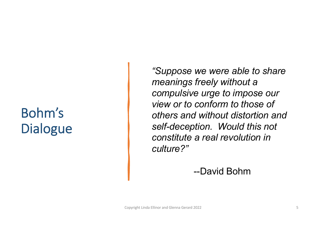## Bohm's **Dialogue**

*"Suppose we were able to share meanings freely without a compulsive urge to impose our view or to conform to those of others and without distortion and self-deception. Would this not constitute a real revolution in culture?"*

--David Bohm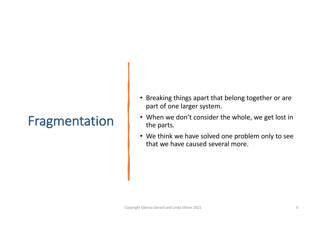### Fragmentation

- Breaking things apart that belong together or are part of one larger system.
- When we don't consider the whole, we get lost in the parts.
- We think we have solved one problem only to see that we have caused several more.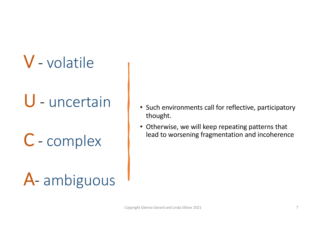# V - volatile

## U - uncertain

- C complex
- A- ambiguous
- Such environments call for reflective, participatory thought.
- Otherwise, we will keep repeating patterns that lead to worsening fragmentation and incoherence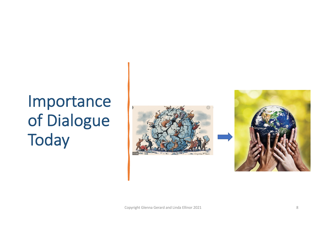# Importance of Dialogue **Today**



Copyright Glenna Gerard and Linda Ellinor 2021 8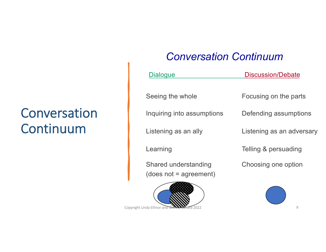### Conversation Continuum

#### *Conversation Continuum*

| <b>Dialogue</b>                                  | Discussion/Debate         |
|--------------------------------------------------|---------------------------|
| Seeing the whole                                 | Focusing on the parts     |
| Inquiring into assumptions                       | Defending assumptions     |
| Listening as an ally                             | Listening as an adversary |
| Learning                                         | Telling & persuading      |
| Shared understanding<br>$(does not = agreement)$ | Choosing one option       |

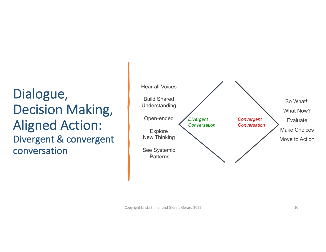#### Dialogue, Decision Making, Aligned Action: Divergent & convergent conversation

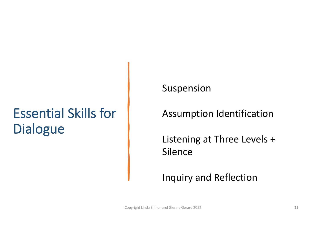### Essential Skills for Dialogue

Suspension

Assumption Identification

Listening at Three Levels + Silence

Inquiry and Reflection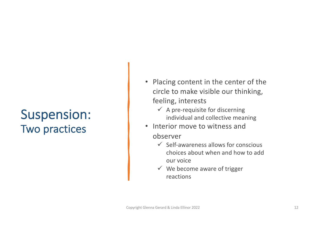#### Suspension: Two practices

- Placing content in the center of the circle to make visible our thinking, feeling, interests
	- $\checkmark$  A pre-requisite for discerning individual and collective meaning
- Interior move to witness and observer
	- $\checkmark$  Self-awareness allows for conscious choices about when and how to add our voice
	- $\checkmark$  We become aware of trigger reactions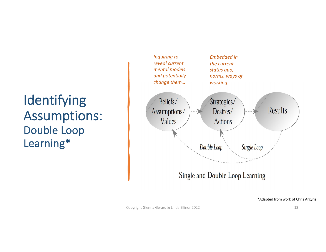#### Identifying Assumptions: Double Loop Learning\*



\*Adapted from work of Chris Argyris

Copyright Glenna Gerard & Linda Ellinor 2022 13 and 2012 13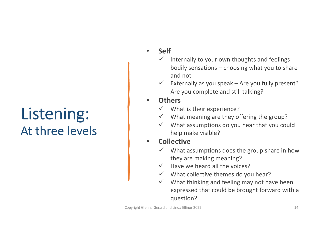## Listening: At three levels

- **Self**
	- $\checkmark$  Internally to your own thoughts and feelings bodily sensations – choosing what you to share and not
	- $\checkmark$  Externally as you speak Are you fully present? Are you complete and still talking?
- **Others**
	- $\checkmark$  What is their experience?
	- $\checkmark$  What meaning are they offering the group?
	- $\checkmark$  What assumptions do you hear that you could help make visible?

#### • **Collective**

- $\checkmark$  What assumptions does the group share in how they are making meaning?
- $\checkmark$  Have we heard all the voices?
- $\checkmark$  What collective themes do you hear?
- $\checkmark$  What thinking and feeling may not have been expressed that could be brought forward with a question?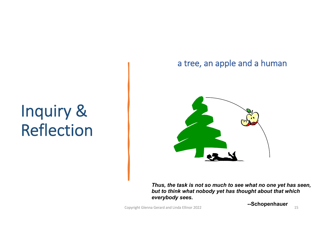#### a tree, an apple and a human



# Inquiry & Reflection

*Thus, the task is not so much to see what no one yet has seen, but to think what nobody yet has thought about that which everybody sees.*

Copyright Glenna Gerard and Linda Ellinor 2022 15

**--Schopenhauer**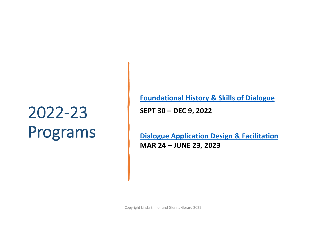# 2022-23 Programs

**[Foundational History & Skills of Dialogue](http://actiondialoguegroup.com/wp-content/uploads/2022/01/2022_foundational-history-and-skills-of-dialogue.pdf) SEPT 30 – DEC 9, 2022**

**[Dialogue Application Design & Facilitation](http://actiondialoguegroup.com/wp-content/uploads/2022/01/2022_dialogue-application-design-and-facilitation.pdf) MAR 24 – JUNE 23, 2023**

Copyright Linda Ellinor and Glenna Gerard 2022